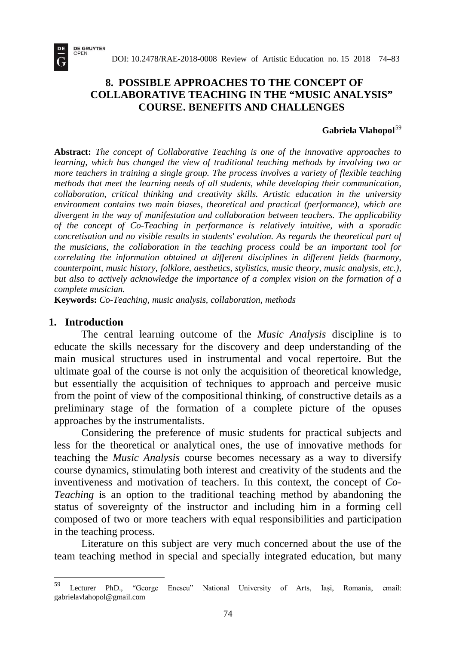# **8. POSSIBLE APPROACHES TO THE CONCEPT OF COLLABORATIVE TEACHING IN THE "MUSIC ANALYSIS" COURSE. BENEFITS AND CHALLENGES**

#### **Gabriela Vlahopol**[59](#page-0-0)

**Abstract:** *The concept of Collaborative Teaching is one of the innovative approaches to learning, which has changed the view of traditional teaching methods by involving two or more teachers in training a single group. The process involves a variety of flexible teaching methods that meet the learning needs of all students, while developing their communication, collaboration, critical thinking and creativity skills. Artistic education in the university environment contains two main biases, theoretical and practical (performance), which are divergent in the way of manifestation and collaboration between teachers. The applicability of the concept of Co-Teaching in performance is relatively intuitive, with a sporadic concretisation and no visible results in students' evolution. As regards the theoretical part of the musicians, the collaboration in the teaching process could be an important tool for correlating the information obtained at different disciplines in different fields (harmony, counterpoint, music history, folklore, aesthetics, stylistics, music theory, music analysis, etc.), but also to actively acknowledge the importance of a complex vision on the formation of a complete musician.*

**Keywords:** *Co-Teaching, music analysis, collaboration, methods*

#### **1. Introduction**

**DE GRUYTER**<br>OPEN

The central learning outcome of the *Music Analysis* discipline is to educate the skills necessary for the discovery and deep understanding of the main musical structures used in instrumental and vocal repertoire. But the ultimate goal of the course is not only the acquisition of theoretical knowledge, but essentially the acquisition of techniques to approach and perceive music from the point of view of the compositional thinking, of constructive details as a preliminary stage of the formation of a complete picture of the opuses approaches by the instrumentalists.

Considering the preference of music students for practical subjects and less for the theoretical or analytical ones, the use of innovative methods for teaching the *Music Analysis* course becomes necessary as a way to diversify course dynamics, stimulating both interest and creativity of the students and the inventiveness and motivation of teachers. In this context, the concept of *Co-Teaching* is an option to the traditional teaching method by abandoning the status of sovereignty of the instructor and including him in a forming cell composed of two or more teachers with equal responsibilities and participation in the teaching process.

Literature on this subject are very much concerned about the use of the team teaching method in special and specially integrated education, but many

<span id="page-0-0"></span>Lecturer PhD., "George Enescu" National University of Arts, Iași, Romania, email: gabrielavlahopol@gmail.com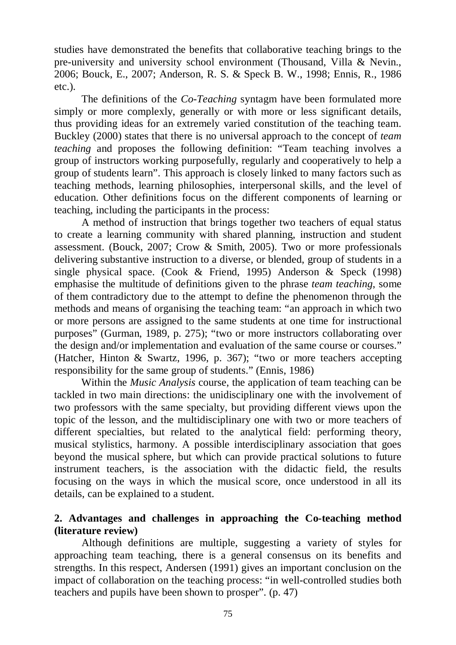studies have demonstrated the benefits that collaborative teaching brings to the pre-university and university school environment (Thousand, Villa & Nevin., 2006; Bouck, E., 2007; Anderson, R. S. & Speck B. W., 1998; Ennis, R., 1986 etc.).

The definitions of the *Co-Teaching* syntagm have been formulated more simply or more complexly, generally or with more or less significant details, thus providing ideas for an extremely varied constitution of the teaching team. Buckley (2000) states that there is no universal approach to the concept of *team teaching* and proposes the following definition: "Team teaching involves a group of instructors working purposefully, regularly and cooperatively to help a group of students learn". This approach is closely linked to many factors such as teaching methods, learning philosophies, interpersonal skills, and the level of education. Other definitions focus on the different components of learning or teaching, including the participants in the process:

A method of instruction that brings together two teachers of equal status to create a learning community with shared planning, instruction and student assessment. (Bouck, 2007; Crow & Smith, 2005). Two or more professionals delivering substantive instruction to a diverse, or blended, group of students in a single physical space. (Cook & Friend, 1995) Anderson & Speck (1998) emphasise the multitude of definitions given to the phrase *team teaching*, some of them contradictory due to the attempt to define the phenomenon through the methods and means of organising the teaching team: "an approach in which two or more persons are assigned to the same students at one time for instructional purposes" (Gurman, 1989, p. 275); "two or more instructors collaborating over the design and/or implementation and evaluation of the same course or courses." (Hatcher, Hinton & Swartz, 1996, p. 367); "two or more teachers accepting responsibility for the same group of students." (Ennis, 1986)

Within the *Music Analysis* course, the application of team teaching can be tackled in two main directions: the unidisciplinary one with the involvement of two professors with the same specialty, but providing different views upon the topic of the lesson, and the multidisciplinary one with two or more teachers of different specialties, but related to the analytical field: performing theory, musical stylistics, harmony. A possible interdisciplinary association that goes beyond the musical sphere, but which can provide practical solutions to future instrument teachers, is the association with the didactic field, the results focusing on the ways in which the musical score, once understood in all its details, can be explained to a student.

## **2. Advantages and challenges in approaching the Co-teaching method (literature review)**

Although definitions are multiple, suggesting a variety of styles for approaching team teaching, there is a general consensus on its benefits and strengths. In this respect, Andersen (1991) gives an important conclusion on the impact of collaboration on the teaching process: "in well-controlled studies both teachers and pupils have been shown to prosper". (p. 47)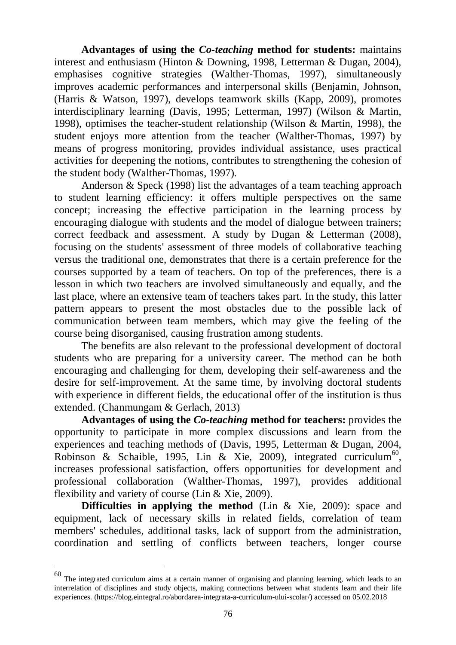**Advantages of using the** *Co-teaching* **method for students:** maintains interest and enthusiasm (Hinton & Downing, 1998, Letterman & Dugan, 2004), emphasises cognitive strategies (Walther-Thomas, 1997), simultaneously improves academic performances and interpersonal skills (Benjamin, Johnson, (Harris & Watson, 1997), develops teamwork skills (Kapp, 2009), promotes interdisciplinary learning (Davis, 1995; Letterman, 1997) (Wilson & Martin, 1998), optimises the teacher-student relationship (Wilson & Martin, 1998), the student enjoys more attention from the teacher (Walther-Thomas, 1997) by means of progress monitoring, provides individual assistance, uses practical activities for deepening the notions, contributes to strengthening the cohesion of the student body (Walther-Thomas, 1997).

Anderson & Speck (1998) list the advantages of a team teaching approach to student learning efficiency: it offers multiple perspectives on the same concept; increasing the effective participation in the learning process by encouraging dialogue with students and the model of dialogue between trainers; correct feedback and assessment. A study by Dugan & Letterman (2008), focusing on the students' assessment of three models of collaborative teaching versus the traditional one, demonstrates that there is a certain preference for the courses supported by a team of teachers. On top of the preferences, there is a lesson in which two teachers are involved simultaneously and equally, and the last place, where an extensive team of teachers takes part. In the study, this latter pattern appears to present the most obstacles due to the possible lack of communication between team members, which may give the feeling of the course being disorganised, causing frustration among students.

The benefits are also relevant to the professional development of doctoral students who are preparing for a university career. The method can be both encouraging and challenging for them, developing their self-awareness and the desire for self-improvement. At the same time, by involving doctoral students with experience in different fields, the educational offer of the institution is thus extended. (Chanmungam & Gerlach, 2013)

**Advantages of using the** *Co-teaching* **method for teachers:** provides the opportunity to participate in more complex discussions and learn from the experiences and teaching methods of (Davis, 1995, Letterman & Dugan, 2004, Robinson & Schaible, 1995, Lin & Xie, 2009), integrated curriculum<sup>60</sup>, increases professional satisfaction, offers opportunities for development and professional collaboration (Walther-Thomas, 1997), provides additional flexibility and variety of course (Lin & Xie, 2009).

**Difficulties in applying the method** (Lin & Xie, 2009): space and equipment, lack of necessary skills in related fields, correlation of team members' schedules, additional tasks, lack of support from the administration, coordination and settling of conflicts between teachers, longer course

<span id="page-2-0"></span> $60$  The integrated curriculum aims at a certain manner of organising and planning learning, which leads to an interrelation of disciplines and study objects, making connections between what students learn and their life experiences. [\(https://blog.eintegral.ro/abordarea-integrata-a-curriculum-ului-scolar/\)](https://blog.eintegral.ro/abordarea-integrata-a-curriculum-ului-scolar/) accessed on 05.02.2018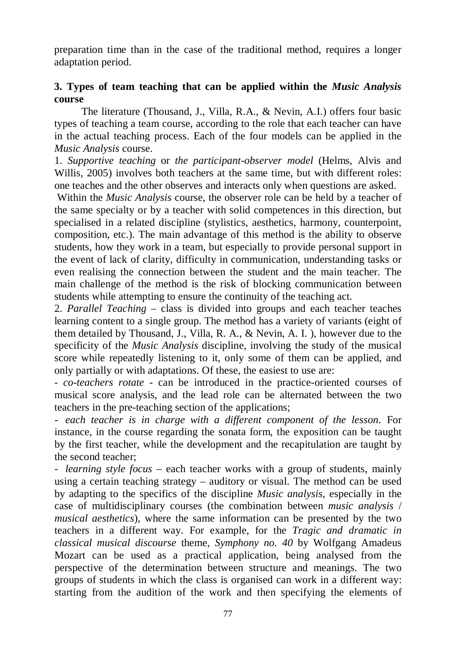preparation time than in the case of the traditional method, requires a longer adaptation period.

# **3. Types of team teaching that can be applied within the** *Music Analysis* **course**

The literature (Thousand, J., Villa, R.A., & Nevin, A.I.) offers four basic types of teaching a team course, according to the role that each teacher can have in the actual teaching process. Each of the four models can be applied in the *Music Analysis* course.

1. *Supportive teaching* or *the participant-observer model* (Helms, Alvis and Willis, 2005) involves both teachers at the same time, but with different roles: one teaches and the other observes and interacts only when questions are asked.

Within the *Music Analysis* course, the observer role can be held by a teacher of the same specialty or by a teacher with solid competences in this direction, but specialised in a related discipline (stylistics, aesthetics, harmony, counterpoint, composition, etc.). The main advantage of this method is the ability to observe students, how they work in a team, but especially to provide personal support in the event of lack of clarity, difficulty in communication, understanding tasks or even realising the connection between the student and the main teacher. The main challenge of the method is the risk of blocking communication between students while attempting to ensure the continuity of the teaching act.

2. *Parallel Teaching* – class is divided into groups and each teacher teaches learning content to a single group. The method has a variety of variants (eight of them detailed by Thousand, J., Villa, R. A., & Nevin, A. I. ), however due to the specificity of the *Music Analysis* discipline, involving the study of the musical score while repeatedly listening to it, only some of them can be applied, and only partially or with adaptations. Of these, the easiest to use are:

- *co-teachers rotate* - can be introduced in the practice-oriented courses of musical score analysis, and the lead role can be alternated between the two teachers in the pre-teaching section of the applications;

*- each teacher is in charge with a different component of the lesson*. For instance, in the course regarding the sonata form, the exposition can be taught by the first teacher, while the development and the recapitulation are taught by the second teacher;

*- learning style focus –* each teacher works with a group of students, mainly using a certain teaching strategy – auditory or visual. The method can be used by adapting to the specifics of the discipline *Music analysis*, especially in the case of multidisciplinary courses (the combination between *music analysis* / *musical aesthetics*), where the same information can be presented by the two teachers in a different way. For example, for the *Tragic and dramatic in classical musical discourse* theme, *Symphony no. 40* by Wolfgang Amadeus Mozart can be used as a practical application, being analysed from the perspective of the determination between structure and meanings. The two groups of students in which the class is organised can work in a different way: starting from the audition of the work and then specifying the elements of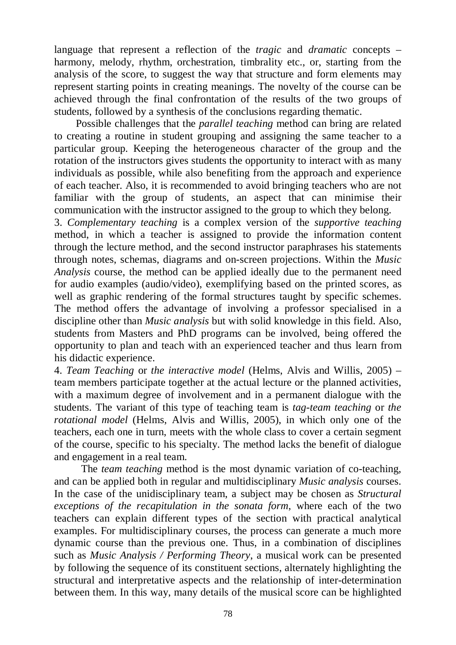language that represent a reflection of the *tragic* and *dramatic* concepts – harmony, melody, rhythm, orchestration, timbrality etc., or, starting from the analysis of the score, to suggest the way that structure and form elements may represent starting points in creating meanings. The novelty of the course can be achieved through the final confrontation of the results of the two groups of students, followed by a synthesis of the conclusions regarding thematic.

Possible challenges that the *parallel teaching* method can bring are related to creating a routine in student grouping and assigning the same teacher to a particular group. Keeping the heterogeneous character of the group and the rotation of the instructors gives students the opportunity to interact with as many individuals as possible, while also benefiting from the approach and experience of each teacher. Also, it is recommended to avoid bringing teachers who are not familiar with the group of students, an aspect that can minimise their communication with the instructor assigned to the group to which they belong.

3. *Complementary teaching* is a complex version of the *supportive teaching* method, in which a teacher is assigned to provide the information content through the lecture method, and the second instructor paraphrases his statements through notes, schemas, diagrams and on-screen projections. Within the *Music Analysis* course, the method can be applied ideally due to the permanent need for audio examples (audio/video), exemplifying based on the printed scores, as well as graphic rendering of the formal structures taught by specific schemes. The method offers the advantage of involving a professor specialised in a discipline other than *Music analysis* but with solid knowledge in this field. Also, students from Masters and PhD programs can be involved, being offered the opportunity to plan and teach with an experienced teacher and thus learn from his didactic experience.

4. *Team Teaching* or *the interactive model* (Helms, Alvis and Willis, 2005) – team members participate together at the actual lecture or the planned activities, with a maximum degree of involvement and in a permanent dialogue with the students. The variant of this type of teaching team is *tag-team teaching* or *the rotational model* (Helms, Alvis and Willis, 2005), in which only one of the teachers, each one in turn, meets with the whole class to cover a certain segment of the course, specific to his specialty. The method lacks the benefit of dialogue and engagement in a real team.

The *team teaching* method is the most dynamic variation of co-teaching, and can be applied both in regular and multidisciplinary *Music analysis* courses. In the case of the unidisciplinary team, a subject may be chosen as *Structural exceptions of the recapitulation in the sonata form*, where each of the two teachers can explain different types of the section with practical analytical examples. For multidisciplinary courses, the process can generate a much more dynamic course than the previous one. Thus, in a combination of disciplines such as *Music Analysis / Performing Theory*, a musical work can be presented by following the sequence of its constituent sections, alternately highlighting the structural and interpretative aspects and the relationship of inter-determination between them. In this way, many details of the musical score can be highlighted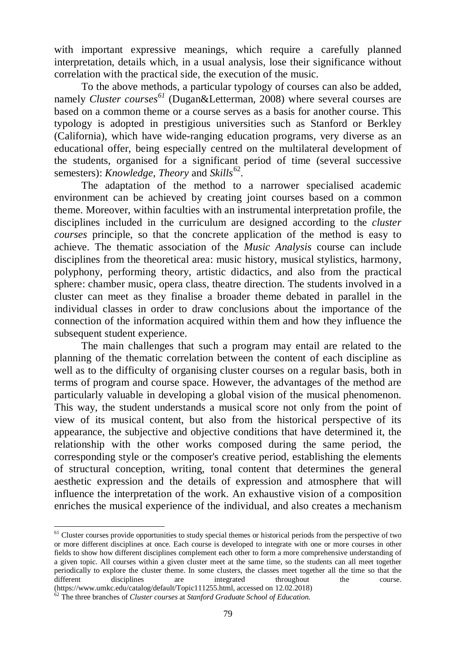with important expressive meanings, which require a carefully planned interpretation, details which, in a usual analysis, lose their significance without correlation with the practical side, the execution of the music.

To the above methods, a particular typology of courses can also be added, namely *Cluster courses [61](#page-5-0)* (Dugan&Letterman, 2008) where several courses are based on a common theme or a course serves as a basis for another course. This typology is adopted in prestigious universities such as Stanford or Berkley (California), which have wide-ranging education programs, very diverse as an educational offer, being especially centred on the multilateral development of the students, organised for a significant period of time (several successive semesters): *Knowledge*, *Theory* and *Skills*[62](#page-5-1).

The adaptation of the method to a narrower specialised academic environment can be achieved by creating joint courses based on a common theme. Moreover, within faculties with an instrumental interpretation profile, the disciplines included in the curriculum are designed according to the *cluster courses* principle, so that the concrete application of the method is easy to achieve. The thematic association of the *Music Analysis* course can include disciplines from the theoretical area: music history, musical stylistics, harmony, polyphony, performing theory, artistic didactics, and also from the practical sphere: chamber music, opera class, theatre direction. The students involved in a cluster can meet as they finalise a broader theme debated in parallel in the individual classes in order to draw conclusions about the importance of the connection of the information acquired within them and how they influence the subsequent student experience.

The main challenges that such a program may entail are related to the planning of the thematic correlation between the content of each discipline as well as to the difficulty of organising cluster courses on a regular basis, both in terms of program and course space. However, the advantages of the method are particularly valuable in developing a global vision of the musical phenomenon. This way, the student understands a musical score not only from the point of view of its musical content, but also from the historical perspective of its appearance, the subjective and objective conditions that have determined it, the relationship with the other works composed during the same period, the corresponding style or the composer's creative period, establishing the elements of structural conception, writing, tonal content that determines the general aesthetic expression and the details of expression and atmosphere that will influence the interpretation of the work. An exhaustive vision of a composition enriches the musical experience of the individual, and also creates a mechanism

<span id="page-5-0"></span> $<sup>61</sup>$  Cluster courses provide opportunities to study special themes or historical periods from the perspective of two</sup> or more different disciplines at once. Each course is developed to integrate with one or more courses in other fields to show how different disciplines complement each other to form a more comprehensive understanding of a given topic. All courses within a given cluster meet at the same time, so the students can all meet together periodically to explore the cluster theme. In some clusters, the classes meet together all the time so that the different disciplines are the throughout the course. different disciplines are integrated throughout the course. [\(https://www.umkc.edu/catalog/default/Topic111255.html,](https://www.umkc.edu/catalog/default/Topic111255.html) accessed on 12.02.2018) <sup>62</sup> The three branches of *Cluster courses* at *Stanford Graduate School of Education*.

<span id="page-5-1"></span>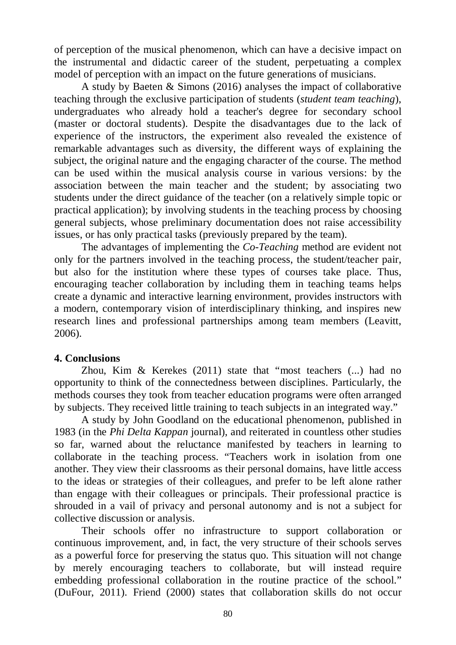of perception of the musical phenomenon, which can have a decisive impact on the instrumental and didactic career of the student, perpetuating a complex model of perception with an impact on the future generations of musicians.

A study by Baeten & Simons (2016) analyses the impact of collaborative teaching through the exclusive participation of students (*student team teaching*), undergraduates who already hold a teacher's degree for secondary school (master or doctoral students). Despite the disadvantages due to the lack of experience of the instructors, the experiment also revealed the existence of remarkable advantages such as diversity, the different ways of explaining the subject, the original nature and the engaging character of the course. The method can be used within the musical analysis course in various versions: by the association between the main teacher and the student; by associating two students under the direct guidance of the teacher (on a relatively simple topic or practical application); by involving students in the teaching process by choosing general subjects, whose preliminary documentation does not raise accessibility issues, or has only practical tasks (previously prepared by the team).

The advantages of implementing the *Co-Teaching* method are evident not only for the partners involved in the teaching process, the student/teacher pair, but also for the institution where these types of courses take place. Thus, encouraging teacher collaboration by including them in teaching teams helps create a dynamic and interactive learning environment, provides instructors with a modern, contemporary vision of interdisciplinary thinking, and inspires new research lines and professional partnerships among team members (Leavitt, 2006).

#### **4. Conclusions**

Zhou, Kim & Kerekes (2011) state that "most teachers (...) had no opportunity to think of the connectedness between disciplines. Particularly, the methods courses they took from teacher education programs were often arranged by subjects. They received little training to teach subjects in an integrated way."

A study by John Goodland on the educational phenomenon, published in 1983 (in the *Phi Delta Kappan* journal), and reiterated in countless other studies so far, warned about the reluctance manifested by teachers in learning to collaborate in the teaching process. "Teachers work in isolation from one another. They view their classrooms as their personal domains, have little access to the ideas or strategies of their colleagues, and prefer to be left alone rather than engage with their colleagues or principals. Their professional practice is shrouded in a vail of privacy and personal autonomy and is not a subject for collective discussion or analysis.

Their schools offer no infrastructure to support collaboration or continuous improvement, and, in fact, the very structure of their schools serves as a powerful force for preserving the status quo. This situation will not change by merely encouraging teachers to collaborate, but will instead require embedding professional collaboration in the routine practice of the school." (DuFour, 2011). Friend (2000) states that collaboration skills do not occur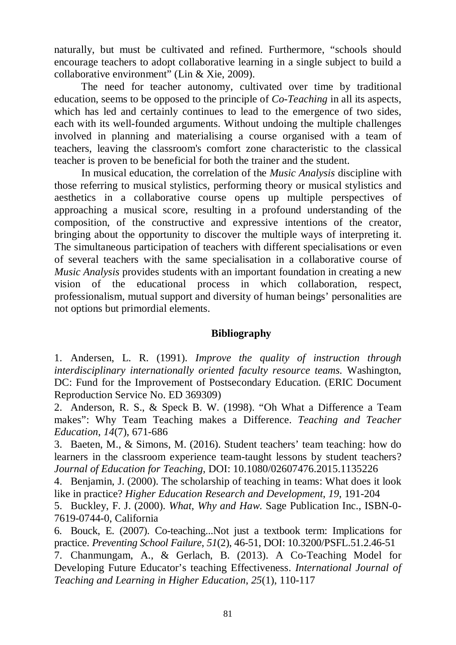naturally, but must be cultivated and refined. Furthermore, "schools should encourage teachers to adopt collaborative learning in a single subject to build a collaborative environment" (Lin & Xie, 2009).

The need for teacher autonomy, cultivated over time by traditional education, seems to be opposed to the principle of *Co-Teaching* in all its aspects, which has led and certainly continues to lead to the emergence of two sides, each with its well-founded arguments. Without undoing the multiple challenges involved in planning and materialising a course organised with a team of teachers, leaving the classroom's comfort zone characteristic to the classical teacher is proven to be beneficial for both the trainer and the student.

In musical education, the correlation of the *Music Analysis* discipline with those referring to musical stylistics, performing theory or musical stylistics and aesthetics in a collaborative course opens up multiple perspectives of approaching a musical score, resulting in a profound understanding of the composition, of the constructive and expressive intentions of the creator, bringing about the opportunity to discover the multiple ways of interpreting it. The simultaneous participation of teachers with different specialisations or even of several teachers with the same specialisation in a collaborative course of *Music Analysis* provides students with an important foundation in creating a new vision of the educational process in which collaboration, respect, professionalism, mutual support and diversity of human beings' personalities are not options but primordial elements.

## **Bibliography**

1. Andersen, L. R. (1991). *Improve the quality of instruction through interdisciplinary internationally oriented faculty resource teams.* Washington, DC: Fund for the Improvement of Postsecondary Education. (ERIC Document Reproduction Service No. ED 369309)

2. Anderson, R. S., & Speck B. W. (1998). "Oh What a Difference a Team makes": Why Team Teaching makes a Difference. *Teaching and Teacher Education*, *14*(7), 671-686

3. Baeten, M., & Simons, M. (2016). Student teachers' team teaching: how do learners in the classroom experience team-taught lessons by student teachers? *Journal of Education for Teaching*, DOI: 10.1080/02607476.2015.1135226

4. Benjamin, J. (2000). The scholarship of teaching in teams: What does it look like in practice? *Higher Education Research and Development*, *19*, 191-204

5. Buckley, F. J. (2000). *What, Why and Haw*. Sage Publication Inc., ISBN-0- 7619-0744-0, California

6. Bouck, E. (2007). Co-teaching...Not just a textbook term: Implications for practice. *Preventing School Failure*, *51*(2), 46-51, DOI: 10.3200/PSFL.51.2.46-51

7. Chanmungam, A., & Gerlach, B. (2013). A Co-Teaching Model for Developing Future Educator's teaching Effectiveness. *International Journal of Teaching and Learning in Higher Education*, *25*(1), 110-117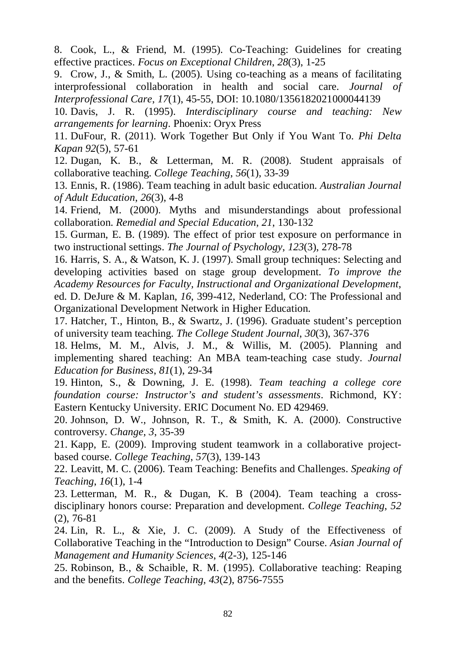8. Cook, L., & Friend, M. (1995). Co-Teaching: Guidelines for creating effective practices. *Focus on Exceptional Children*, *28*(3), 1-25

9. Crow, J., & Smith, L. (2005). Using co-teaching as a means of facilitating interprofessional collaboration in health and social care. *Journal of Interprofessional Care*, *17*(1), 45-55, DOI: 10.1080/1356182021000044139

10. Davis, J. R. (1995). *Interdisciplinary course and teaching: New arrangements for learning*. Phoenix: Oryx Press

11. DuFour, R. (2011). Work Together But Only if You Want To. *Phi Delta Kapan 92*(5), 57-61

12. Dugan, K. B., & Letterman, M. R. (2008). Student appraisals of collaborative teaching. *College Teaching*, *56*(1), 33-39

13. Ennis, R. (1986). Team teaching in adult basic education. *Australian Journal of Adult Education*, *26*(3), 4-8

14. Friend, M. (2000). Myths and misunderstandings about professional collaboration. *Remedial and Special Education*, *21*, 130-132

15. Gurman, E. B. (1989). The effect of prior test exposure on performance in two instructional settings. *The Journal of Psychology*, *123*(3), 278-78

16. Harris, S. A., & Watson, K. J. (1997). Small group techniques: Selecting and developing activities based on stage group development. *To improve the Academy Resources for Faculty, Instructional and Organizational Development*, ed. D. DeJure & M. Kaplan, *16*, 399-412, Nederland, CO: The Professional and Organizational Development Network in Higher Education.

17. Hatcher, T., Hinton, B., & Swartz, J. (1996). Graduate student's perception of university team teaching. *The College Student Journal*, *30*(3), 367-376

18. Helms, M. M., Alvis, J. M., & Willis, M. (2005). Planning and implementing shared teaching: An MBA team-teaching case study. *Journal Education for Business*, *81*(1), 29-34

19. Hinton, S., & Downing, J. E. (1998). *Team teaching a college core foundation course: Instructor's and student's assessments*. Richmond, KY: Eastern Kentucky University. ERIC Document No. ED 429469.

20. Johnson, D. W., Johnson, R. T., & Smith, K. A. (2000). Constructive controversy. *Change*, *3*, 35-39

21. Kapp, E. (2009). Improving student teamwork in a collaborative projectbased course. *College Teaching*, *57*(3), 139-143

22. Leavitt, M. C. (2006). Team Teaching: Benefits and Challenges. *Speaking of Teaching*, *16*(1), 1-4

23. Letterman, M. R., & Dugan, K. B (2004). Team teaching a crossdisciplinary honors course: Preparation and development. *College Teaching*, *52*  (2), 76-81

24. Lin, R. L., & Xie, J. C. (2009). A Study of the Effectiveness of Collaborative Teaching in the "Introduction to Design" Course. *Asian Journal of Management and Humanity Sciences*, *4*(2-3), 125-146

25. Robinson, B., & Schaible, R. M. (1995). Collaborative teaching: Reaping and the benefits. *College Teaching*, *43*(2), 8756-7555